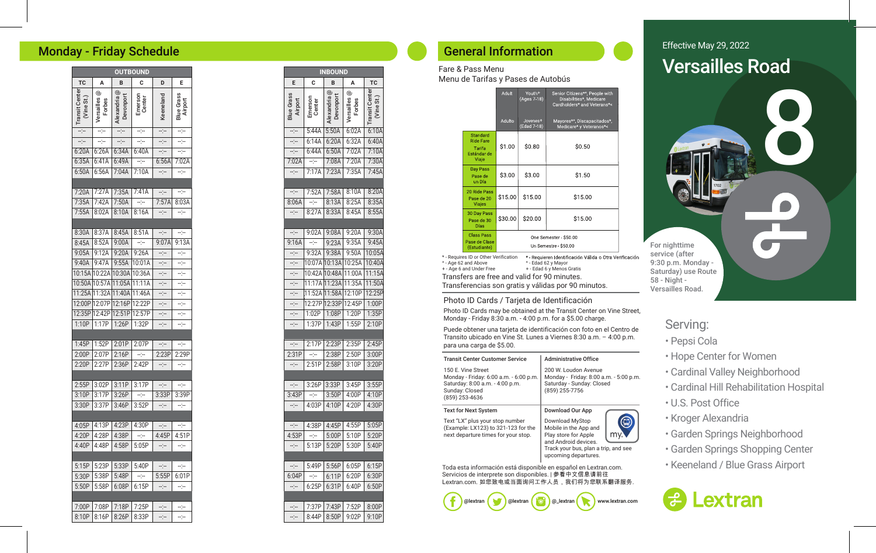## Monday - Friday Schedule

|                                   |                                                     |                              | <b>OUTBOUND</b>   |                |                            |
|-----------------------------------|-----------------------------------------------------|------------------------------|-------------------|----------------|----------------------------|
| <b>TC</b>                         | A                                                   | B                            | c                 | D              | Е                          |
| Center<br>St.)<br>Vine<br>Transit | $_{\tiny{\textregistered}}$<br>Versailles<br>Forbes | ල<br>Devonport<br>Alexandria | Emerson<br>Center | Keeneland      | Grass<br>Airport<br>Blue i |
| ÷                                 | ÷                                                   | ⊹                            | ÷F                | ÷              | Ķ                          |
| $\frac{1}{2}$                     | ÷.                                                  | ÷                            | ų.                | ÷              | ÷                          |
| 6:20A                             | 6:26A                                               | 6:34A                        | 6:40A             | $-:-$          | Ξjμ                        |
| 6:35A                             | 6:41A                                               | 6:49A                        | ---               | 6:56A          | 7:02A                      |
| 6:50A                             | 6:56A                                               | 7:04A                        | 7:10A             | ---            | шjш                        |
|                                   |                                                     |                              |                   |                |                            |
| 7:20A                             | 7:27A                                               | 7:35A                        | 7:41A             | $-\frac{1}{2}$ | $-\frac{1}{2}$             |
| 7:35A                             | 7:42A                                               | 7:50A                        | $-1$              | 7:57A          | 8:03A                      |
| 7:55A                             | 8:02A                                               | 8:10A                        | 8:16A             | ---            | ÷                          |
|                                   |                                                     |                              |                   |                |                            |
| 8:30A                             | 8:37A                                               | 8:45A                        | 8:51A             | $-\frac{1}{2}$ | ÷                          |
| 8:45A                             | 8:52A                                               | 9:00A                        | $-1$              | 9:07A          | 9:13A                      |
| 9:05A                             | 9:12A                                               | 9:20A                        | 9:26A             | ----           | ц.                         |
| 9:40A                             | 9:47A                                               | 9:55A                        | 10:01A            | ÷              | ÷                          |
| 10:15A 10:22A                     |                                                     | 10:30A                       | 10:36A            | --:--          | Ķ                          |
| 10:50A                            | 10:57A                                              | 11:05A                       | 11:11A            | ÷              | 4                          |
| 11:25A                            | 11:32A                                              | 11:40A                       | 11:46A            | ÷              | ÷                          |
| 12:00P                            | 12:07P                                              | 12:16P                       | 12:22P            | ÷              | $\omega_{\rm 1}$           |
| 12:35P                            | 12:42P                                              | 12:51P                       | 12:57P            | ---            | ---                        |
| 1:10P                             | 1:17P                                               | 1:26P                        | 1:32P             | --:--          | ÷                          |
|                                   |                                                     |                              |                   |                |                            |
| 1:45P                             | 1:52P                                               | 2:01P                        | 2:07P             | ÷              | ÷                          |
| 2:00P                             | 2:07P                                               | 2:16P                        | ---               | 2:23P          | 2:29P                      |
| 2:20P                             | 2:27P                                               | 2:36P                        | 2:42P             | --:--          | ⊹                          |
|                                   |                                                     |                              |                   |                |                            |
| 2:55P                             | 3:02P                                               | 3:11P                        | 3:17P             | $-$ :--        | ---                        |
| 3:10P                             | 3:17P                                               | 3:26P                        | $-(-$             | 3:33P          | 3:39P                      |
| 3:30P                             | 3:37P                                               | 3:46P                        | 3:52P             | ---            | ----                       |
|                                   |                                                     |                              |                   |                |                            |
| 4:05P                             | 4:13P                                               | 4:23P                        | 4:30P             | ⊹              | ÷                          |
| 4:20P                             | 4:28P                                               | 4:38P                        | ---               | 4:45P          | 4:51P                      |
| 4:40P                             | 4:48P                                               | 4:58P                        | 5:05P             | --:--          | ---                        |
|                                   |                                                     |                              |                   |                |                            |
| 5:15P                             | 5:23P                                               | 5:33P                        | 5:40P             | ---            | ---                        |
| 5:30P                             | 5:38P                                               | 5:48P                        | ÷j÷               | 5:55P          | 6:01P                      |
| 5:50P                             | 5:58P                                               | 6:08P                        | 6:15P             | --:--          | ---                        |
|                                   |                                                     |                              |                   |                |                            |
| 7:00P                             | 7:08P                                               | 7:18P                        | 7:25P             | ÷              | ÷                          |
| 8:10P                             | 8:16P                                               | 8:26P                        | 8:33P             | -:−            | ţ.                         |

|                                                                                                                                                                                                                                                                                                                                                                                               |                   | <b>INBOUND</b>               |                           |                                                            |
|-----------------------------------------------------------------------------------------------------------------------------------------------------------------------------------------------------------------------------------------------------------------------------------------------------------------------------------------------------------------------------------------------|-------------------|------------------------------|---------------------------|------------------------------------------------------------|
| E                                                                                                                                                                                                                                                                                                                                                                                             | c                 | B                            | A                         | <b>TC</b>                                                  |
| <b>Blue Grass</b><br>Airport                                                                                                                                                                                                                                                                                                                                                                  | Emerson<br>Center | ල<br>Devonport<br>Alexandria | ල<br>Versailles<br>Forbes | <b>Transit Center</b><br>$\overline{\mathbf{S}}$<br>(Vine: |
| $-\frac{1}{2} \frac{1}{2} \frac{1}{2} \frac{1}{2} \frac{1}{2} \frac{1}{2} \frac{1}{2} \frac{1}{2} \frac{1}{2} \frac{1}{2} \frac{1}{2} \frac{1}{2} \frac{1}{2} \frac{1}{2} \frac{1}{2} \frac{1}{2} \frac{1}{2} \frac{1}{2} \frac{1}{2} \frac{1}{2} \frac{1}{2} \frac{1}{2} \frac{1}{2} \frac{1}{2} \frac{1}{2} \frac{1}{2} \frac{1}{2} \frac{1}{2} \frac{1}{2} \frac{1}{2} \frac{1}{2} \frac{$ | 5:44A             | 5:50A                        | 6:02A                     | 6:10A                                                      |
| $-\dot{}$                                                                                                                                                                                                                                                                                                                                                                                     | 6:14A             | 6:20A                        | 6:32A                     | 6:40A                                                      |
| Ę.                                                                                                                                                                                                                                                                                                                                                                                            | 6:44A             | 6:50A                        | 7:02A                     | 7:10A                                                      |
| 7:02A                                                                                                                                                                                                                                                                                                                                                                                         | $-1$              | 7:08A                        | 7:20A                     | 7:30A                                                      |
| ÷j÷                                                                                                                                                                                                                                                                                                                                                                                           | 7:17A             | 7:23A                        | 7:35A                     | 7:45A                                                      |
|                                                                                                                                                                                                                                                                                                                                                                                               |                   |                              |                           |                                                            |
| ---                                                                                                                                                                                                                                                                                                                                                                                           | 7:52A             | 7:58A                        | 8:10A                     | 8:20A                                                      |
| 8:06A                                                                                                                                                                                                                                                                                                                                                                                         | $-1$              | 8:13A                        | 8:25A                     | 8:35A                                                      |
| $ -$                                                                                                                                                                                                                                                                                                                                                                                          | 8:27A             | 8:33A                        | 8:45A                     | 8:55A                                                      |
|                                                                                                                                                                                                                                                                                                                                                                                               |                   |                              |                           |                                                            |
| --                                                                                                                                                                                                                                                                                                                                                                                            | 9:02A             | 9:08A                        | 9:20A                     | 9:30A                                                      |
| 9:16A                                                                                                                                                                                                                                                                                                                                                                                         | ÷                 | 9:23A                        | 9:35A                     | 9:45A                                                      |
| ⊹                                                                                                                                                                                                                                                                                                                                                                                             | 9:32A             | 9:38A                        | 9:50A                     | 10:05A                                                     |
| ÷                                                                                                                                                                                                                                                                                                                                                                                             |                   | 10:07A 10:13A                | 10:25A                    | 10:40A                                                     |
| $-(-$                                                                                                                                                                                                                                                                                                                                                                                         | 10:42A            | 10:48A                       | 11:00A                    | 11:15A                                                     |
| ÷                                                                                                                                                                                                                                                                                                                                                                                             |                   | 11:17A 11:23A                | 11:35A                    | 11:50A                                                     |
| --)--                                                                                                                                                                                                                                                                                                                                                                                         | .11:52A 11:58A    |                              | 12:10P                    | 12:25P                                                     |
| --)--                                                                                                                                                                                                                                                                                                                                                                                         |                   | 12:27P 12:33P                | 12:45P                    | 1:00P                                                      |
| --:--                                                                                                                                                                                                                                                                                                                                                                                         | 1:02P             | 1:08P                        | 1:20P                     | 1:35P                                                      |
| ⊹                                                                                                                                                                                                                                                                                                                                                                                             | 1:37P             | 1:43P                        | 1:55P                     | 2:10P                                                      |
|                                                                                                                                                                                                                                                                                                                                                                                               |                   |                              |                           |                                                            |
| ---                                                                                                                                                                                                                                                                                                                                                                                           | 2:17P             | 2:23P                        | 2:35P                     | 2:45P                                                      |
| 2:31P                                                                                                                                                                                                                                                                                                                                                                                         | ÷j÷               | 2:38P                        | 2:50P                     | 3:00P                                                      |
| ---                                                                                                                                                                                                                                                                                                                                                                                           | 2:51P             | 2:58P                        | 3:10P                     | 3:20P                                                      |
|                                                                                                                                                                                                                                                                                                                                                                                               |                   |                              |                           |                                                            |
| ---                                                                                                                                                                                                                                                                                                                                                                                           | 3:26P             | 3:33P                        | 3:45P                     | 3:55P                                                      |
| 3:43P                                                                                                                                                                                                                                                                                                                                                                                         | ---               | 3:50P                        | 4:00P                     | 4:10P                                                      |
| ---                                                                                                                                                                                                                                                                                                                                                                                           | 4:03P             | 4:10P                        | 4:20P                     | 4:30P                                                      |
|                                                                                                                                                                                                                                                                                                                                                                                               |                   |                              |                           |                                                            |
| ÷                                                                                                                                                                                                                                                                                                                                                                                             | 4:38P             | 4:45P                        | 4:55P                     | 5:05P                                                      |
| 4:53P                                                                                                                                                                                                                                                                                                                                                                                         | ---               | 5:00P                        | 5:10P                     | 5:20P                                                      |
| ---                                                                                                                                                                                                                                                                                                                                                                                           | 5:13P             | 5:20P                        | 5:30P                     | 5:40P                                                      |
|                                                                                                                                                                                                                                                                                                                                                                                               |                   |                              |                           |                                                            |
| $-1$                                                                                                                                                                                                                                                                                                                                                                                          | 5:49P             | 5:56P                        | 6:05P                     | 6:15P                                                      |
| 6:04P                                                                                                                                                                                                                                                                                                                                                                                         | ÷                 | 6:11P                        | 6:20P                     | 6:30P                                                      |
| ---                                                                                                                                                                                                                                                                                                                                                                                           | 6:25P             | 6:31P                        | 6:40P                     | 6:50P                                                      |
|                                                                                                                                                                                                                                                                                                                                                                                               |                   |                              |                           |                                                            |
| $-1$                                                                                                                                                                                                                                                                                                                                                                                          |                   |                              | 7:37P 7:43P 7:52P         | 8:00P                                                      |

--:--

8:44P | 8:50P | 9:02P | 9:10P

# General Information

### Fare & Pass Menu

Menu de Tarifas y Pases de Autobús

|                                                                | <b>Adult</b> | Youth <sup>+</sup><br>$(Ages\ 7-18)$ | Senior Citizens*^, People with<br>Disabilities*, Medicare<br>Cardholders* and Veterans*< |
|----------------------------------------------------------------|--------------|--------------------------------------|------------------------------------------------------------------------------------------|
|                                                                | Adulto       | Jovenes <sup>+</sup><br>(Edad 7-18)  | Mayores*^, Discapacitados*,<br>Medicare* y Veteranos*<                                   |
| Standard<br><b>Ride Fare</b><br>Tarifa<br>Estándar de<br>Viaje | \$1.00       | \$0.80                               | \$0.50                                                                                   |
| Day Pass<br>Pase de<br>un Día                                  | \$3.00       | \$3.00                               | \$1.50                                                                                   |
| 20 Ride Pass<br>Pase de 20<br><b>Viajes</b>                    | \$15.00      | \$15.00                              | \$15.00                                                                                  |
| <b>30 Day Pass</b><br>Pase de 30<br><b>Días</b>                | \$30.00      | \$20.00                              | \$15.00                                                                                  |
| <b>Class Pass</b><br>Pase de Clase<br>(Estudiante)             |              |                                      | One Semester \$50.00<br>Un Semestre - \$50.00                                            |

\* - Requires ID or Other Verification \* Requieren Identificación Válida o Otra Verificación ^ - Age 62 and Above ^ - Edad 62 y Mayor + - Age 6 and Under Free + - Edad 6 y Menos GratisTransfers are free and valid for 90 minutes. Transferencias son gratis y válidas por 90 minutos.

#### Photo ID Cards / Tarjeta de Identificación

Photo ID Cards may be obtained at the Transit Center on Vine Street, Monday - Friday 8:30 a.m. - 4:00 p.m. for a \$5.00 charge.

Puede obtener una tarjeta de identificación con foto en el Centro de Transito ubicado en Vine St. Lunes a Viernes 8:30 a.m. – 4:00 p.m. para una carga de \$5.00.

| <b>Transit Center Customer Service</b>                                                                                              | <b>Administrative Office</b>                                                                                                                             |
|-------------------------------------------------------------------------------------------------------------------------------------|----------------------------------------------------------------------------------------------------------------------------------------------------------|
| 150 E. Vine Street<br>Monday - Friday: 6:00 a.m. - 6:00 p.m.<br>Saturday: 8:00 a.m. - 4:00 p.m.<br>Sunday: Closed<br>(859) 253-4636 | 200 W. Loudon Avenue<br>Monday - Friday: 8:00 a.m. - 5:00 p.m.<br>Saturday - Sunday: Closed<br>(859) 255-7756                                            |
| <b>Text for Next System</b>                                                                                                         | Download Our App                                                                                                                                         |
| Text "LX" plus your stop number<br>(Example: LX123) to 321-123 for the<br>next departure times for your stop.                       | Download MyStop<br>Mobile in the App and<br>Play store for Apple<br>and Android devices.<br>Track your bus, plan a trip, and see<br>upcoming departures. |

Toda esta información está disponible en español en Lextran.com. Servicios de interprete son disponibles. | 参看中文信息请前往 Lextran.com. 如您致电或当面询问工作人员, 我们将为您联系翻译服务.



# Effective May 29, 202 2 **Versailles Road**



## Serving:

- Pepsi Cola
- Hope Center for Women
- Cardinal Valley Neighborhood
- Cardinal Hill Rehabilitation Hospital
- U.S. Post Office
- Kroger Alexandria
- Garden Springs Neighborhood
- Garden Springs Shopping Center
- Keeneland / Blue Grass Airpor